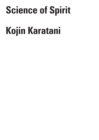## **Science of Spirit**

# **Kojin Karatani**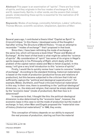**Abstract:** This paper is an examination of "spirits". There are four kinds of spirits, and they originate in the four modes of exchange A, B, C, and D, respectively. Spirits, in other words, are the powers that compel people. Understanding these spirits is essential for the realization of D (communism).

**Keywords:** Modes of exchange, commodity fetishism, Lukács' reification, Thomas Münzer, scientific socialism, Utopianism, *Specters of Marx*

**1**

Several years ago, I contributed a thesis titled "Capital as Spirit" to *Crisis & Critique*.<sup>1</sup> In this thesis, I developed some of the thoughts I had after writing *The Structure of World History* .2 It was an attempt to reconsider ""modes of exchange"" that I proposed in that book.

Since then, I have been rethinking the mode of exchange in the same line, which will become a book titled "Power and Modes of Exchange". At the heart of that book is what might be called the "science of spirits". My consideration of "spirit" has some of its origins in Hegel's spirits (especially in his *Philosophy of Right*, which deals with the problem of the capital-nation-state) and Marx's fetish (*Capital*). In this essay, I will give a very brief introduction to this "science of spirits".

Firstly, I would like to quickly review how I came to conceive "modes of exchange". According to the standard thinking, historical materialism is based on the mode of production (productive forces and relations of production), but this became subjected to the criticism that it did not sufficiently capture the "political and ideological superstructure". For example, Weber, Durkheim, and Freud criticized historical materialism in this way. In their view, there is something in the "political-ideological" dimension, i.e., the state and religion, that cannot be simply determined by the "economic base" (mode of production). But then how is it determined?

In response to that, I thought like this: the political-ideological dimension is also determined by the "economic base", however, the economic base in this case is not the mode of production but the mode of exchange. In fact, when Marx and Engels proposed the "materialist view of history (historical materialism)" in 1846, they wrote;

This conception of history depends on our ability to expound the real process of production, starting out from the material

1 Karatani 2016, pp.167-189

2 Karatani 2010/2014

183 Science of Spirit

R I T I Q U E /

C R I S I S & C

Volume 8 Issue 2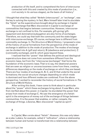production of life itself, and to comprehend the form of intercourse connected with this and created by this mode of production (i.e., civil society in its various stages), as the basis of all history.3

I thought that what they called "*Verkehr* (intercourse)", or "exchange", was the key to solving the mystery. In fact, Marx himself later tried to elucidate the "fetish" as the superstructure brought about by exchange in *Capital*.

The exchange that Marx discovered in *Capital* is exchange of commodities that begins between communities. However, intercourseexchange is not confined to this. For example, gift-giving/ giftrepayment and domination/subjugation are also forms of exchanges. Therefore, we could say that both the community and the state began with intercourse-exchange. Of course, exchange here is different from commodity exchange. In *The Structure of World History*, I proposed a view of the history of social formations from the perspective of the mode of exchange in addition to the mode of production. The modes of exchange can be divided into A (gift and return), B (obedience and protection), C (commodity exchange), and D, which goes beyond these.

I realized that the "power" that defines the political and ideological superstructure does not come from somewhere different from the economic base, but from the "intercourse (exchange)" that forms the foundation of the economic base. That is to say, the ideational powers that are seen as religion or unconsciousness come from there, creating differences depending on the mode of exchange on which they are based. There are four modes of exchange A, B, C, and D that underlie the social formations; the social structure changes depending on which mode is dominant and how different modes are combined. From the above perspective, I worked to reconsider the history of social formations in *The Structure of World History*.

After writing this book, I have come to think about in particular about the "power" which these exchanges bring about. It was Marx, who first clarified about this power; in *Capital*, he elucidated the power that arises from mode of exchange C. He saw the emergence of a fetishspirit in the emergence of money out of the exchange of things between communities. It is the power that enables, or rather compels, the exchange of things. Likewise, Marx discovered "capital as spirit".

### **2**

In *Capital*, Marx wrote about "fetish". However, this was only taken as a joke. Lukács, for example, called it "reification", where a relationship between human and human is transformed into a relationship between

3 Marx and Engels 1932

184 Science of Spirit

& C R I T  $\mathbf{I}$ Q U E / Volume 8

Issue 2

C R I S I S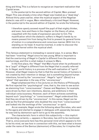thing and thing. This is a failure to recognize an important realization that *Capital* arose.

In the postscript to the second edition of *Capital*, Marx praised Hegel. This was already a time when Hegel was treated as a "dead dog". Almost thirty years earlier, when the mystical aspect of the Hegelian dialectic was still in vogue, Marx relentlessly criticized Hegel. However, in the postscript to the second edition of *Capital*, he wrote the following:

I therefore openly avowed myself the pupil of that mighty thinker, and even, here and there in the chapter on the theory of value, coquetted with the mode of expression peculiar to him. The mystification which the dialectic suffers in Hegel's hands by no means prevent him from being the first to present its general forms of motion in a comprehensive and conscious manner. With him it is standing on its head. It must be inverted, in order to discover the rational kernel within the mystical shell.

This famous statement is misleading in several ways. In a sense, Marx had been "inverting" Hegel since he was young. What is important is that the overturning of Hegel in *Capital* is different from the previous overturnings, and this is what makes it unique to Marx.

In the first place, the "Hegel" that Marx found when he professed to be a "pupil" of Hegel is different from the Hegel that is usually referred to. In Hegel, world history is a process of the self-realization of "spirit". However, what Hegel means by that is that the social history of humans is not created by their intention or design, but is something beyond human intentions, forced by the "unconscious". Hegel's "spirit" (*Geist*) is a "ghost" that operates in the way of the "unconscious".

Hegel emphasized this in his *Lectures on the History of Philosophy*. He first rejected the "psychological" view, that is, the view to see action as stemming from "consciousness". Caesar and Napoleon, for example, were driven by their own intentions, desires, and ambitions in their individual consciousness. However, each of them achieves something beyond such "psychology" or "consciousness". Hegel understood this that they are driven by the "unconscious". In this sense, Hegel can be said as the first philosopher who doubted the view from "consciousness" and looked into the workings of the "unconscious" or spirit.

As an example, Hegel wrote the following about Socrates, who went to the agora and started to engage in dialogues with passersby because he was told by daimonion-spirit not to go to the assembly.

The characteristic form in which this subjectivity — this implicit and deciding certainty — appears in Socrates, has still to be mentioned. That is, since everyone here has this personal mind which appears to him to be his mind, we see how in connection with this, we have what is known under the name of the Genius (daimonion) of Socrates; for it implies that

C R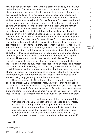now man decides in accordance with his perception and by himself. But in this Genius of Socrates — notorious as a much-discussed bizarrerie of his imagination — we are neither to imagine the existence of protective spirit, angel, and such-like, nor even of conscience. For conscience is the idea of universal individuality, of the mind certain of itself, which is at the same time universal truth. But the Genius of Socrates is rather all the other and necessary sides of his universality, that is, the individuality of mind which came to consciousness in him equally with the former. His pure consciousness stands over both sides. The deficiency in the universal, which lies in its indeterminateness, is unsatisfactorily supplied in an individual way, because Socrates' judgment, as coming from himself, was characterized by the form of an unconscious impulse. The Genius of Socrates is not Socrates himself, not his opinions and conviction, but an oracle which, however, is not external, but is subjective, bis oracle. It bore the form of a knowledge which was directly associated with a condition of unconsciousness; it was a knowledge which may also appear under other conditions as a magnetic state. It may happen that at death, in illness and catalepsy, men know about circumstances future or present, which, in the understood relations of things, are altogether unknown. These are facts which are usually rudely denied. That in Socrates we should discover what comes to pass through reflection in the form of the unconscious., makes it appear to be an exceptional matter. revealed to the individual only, and not as being what it is in truth. Thereby it certainly receives the stamp of imagination, but there is nothing more of what is visionary or superstitious to be seen in it. for it is a necessary manifestation, though Socrates did not recognize the necessity, this element being only generally before his imagination.4

C R I S I S & C R I T I Q U E / Volume 8 Issue 2

The exact reason why Socrates went to the agora to speak with people is unclear. What is important here, however, is that he did not do so based on his conscious choice. If so, Hegel assumed, we could say that the daimonion was the "unconsciousness" of Socrates. Marx was thinking along the same lines when he declared himself as the "pupil" of Hegel. In fact, in *Capital*, Marx wrote the following about what occurs in exchange:

Men do not therefore bring the products of their labor into relation with each other as values because they see these objects merely as the material integuments of homogeneous human labour. The reverse is true by equating their different products to each other in exchange as values, they equate their different kinds of labour as human labour. They do this without being aware of it. Value, therefore, does not have its description branded on its forehead.5

4 Hegel 1995

5 Marx 1976, pp.166-7

186 Science of Spirit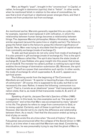Marx, as Hegel's "pupil", brought in the "unconscious" in *Capital*, or rather, he brought in daimonion (spirits); that is "fetish". In other words, when he mentioned fetish in relation to the value of commodities, he saw that a kind of spiritual or ideational power emerges there, and that it comes not from production but from exchange.

## **3**

As mentioned earlier, Marxists generally regarded this as a joke. Lukács, for example, rejected it and replaced it with reification, in which the relationship between human beings becomes a relationship between things. The Japanese Marxist philosopher, Wataru Hiromatsu, made a similar argument (around the same time or slightly earlier). The failure to grasp the fetish lead to the failure to grasp the inherent significance of *Capital*. Here, Marx was trying to elucidate that the spirit of capital arises from commodity exchange (mode of exchange C).

To add, spiritual powers do not only come from mode of exchange C. It is also present in gift exchange (mode of exchange A). This is the spirit that Marcel Mauss called *Hau*. The spirit also haunts the state (mode of exchange B). It was Hobbes who gave insight into this power that arises out of mode B. The monster he called Levithan is nothing but a spirit that enables the exchange of domination-submission (B). Moreover, the spirit manifests itself as a power that overwhelms such spirits. In other words, the mode of exchange D, which supersedes A, B, and C, appears as a spiritual power.

The following words from the beginning of *The Communist Manifesto* are well known: "A specter is haunting Europe—the specter of communism". Of course, this is supposed to be a joke, but that is not necessarily the case. Rather, it means the following: communism is a "spirit". That is, it exists as an ideational "power" that transcends capitalnation-state, that is, as mode D that transcends modes A, B, and C of exchange.

Speaking of spirits, Jacques Derrida's *Specters of Marx* (1995) is suggestive. In this book, he cites examples such as "the specter of communism" and writes that Marx was accompanied by many "ghosts" in his life. The ghosts he refers to range from communism to God, or to money-capital. Certainly, each of these is spiritual in its own way. However, Derrida did not try to clarify the difference and relationship between them. As a result, I feel that the discussion ended up being a kind of play on words.

Derrida wrote this at a time when "the end of history" (Francis Fukuyama) was pronounced after the collapse of the Soviet Union in 1991, that is, at a time when it was said that Marxism was dead. Considering this situation, he was presumably trying to say that the ghost of Marx is

C R I S  $\mathbf{I}$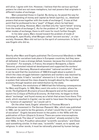still alive. I agree with him. However, I believe that the various spiritual powers he cited are not mere metaphors, but real powers that originate in different modes of exchange.

Marx presented those in *Capital*. By doing so, he paved the way for the understanding of money and capital as fetish (spirits), i.e., ideational powers that arose together with the mode of exchange C. It was at that point that he professed to be a "pupil" of Hegel, whom he had been criticizing all along. However, Marx clarified only the "spirit-fetish" arising from the mode of exchange C. As for the problem of "spirit" arising from other modes of exchange, there is still room for much further thought.

In his later years, Marx moved toward the problem of mode of exchange A, specifically, what Morgan called "ancient society", or clan society. However, Marx did not turn to the spirit of communism. In fact, it was Engels who did so.

R I T  $\mathbf{I}$ Q U E / Volume 8

Issue 2

C R  $\mathbf{I}$ S I S & C

**4**

Shortly after Marx and Engels published *The Communist Manifesto* in 1848, revolutions for socialism took place in European countries, but they were all defeated. It was a strange defeat, however, because the victors adopted "socialism". For example, in France, the emperor Bonaparte, a Saint-Simonist, promoted industrial development and supported the workers' movement. In Germany, Bismarck advocated "national socialism". Overall, it can be said that the revolutions of 1848-9 brought about a system in which the class struggle between capitalists and workers was resolved by the nation-state. It had a "socialist" element to it. In other words, it was a system that reduced the class disparity brought about by the capitalist economy through taxation and redistribution by the state.

Therefore, the revolutions of 1948-9 had the following consequences for Marx and Engels. In 1850, Marx went into exile in London, where he wrote *The Eighteenth Brumaire of Louis Bonaparte* and at the same time launch his *Critique of Political Economy*. At that time, he began to think about "exchange" and found money as a fetish that arises from there. This work, which resulted in *Capital*, can be said to have been the beginning of his "science of capitalism" as I would call it.

On the other hand, Engels' attention to Thomas Münzer's millenarian movement in *The German Peasants' War*, which was published in 1850, can be said to be the genesis, of what I would like to call "science of socialism". Engels became known to the public in the 1970s with the publication of *From Utopia to Science*. There are some misconceptions about this book. The idea of "scientific socialism" already existed in the mid-1840s. In fact, Proudhon advocated "scientific socialism," and Owen said something similar. In that case, "scientific" meant, so to speak, not religious. In other words, it must be rationally planned by human beings.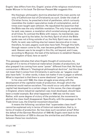Engels' idea differs from this. Engels' praise of the religious revolutionary leader Münzer in his book *The German Peasant War* suggests this:

His theologic-philosophic doctrine attacked all the main points not only of Catholicism but of Christianity as such. Under the cloak of Christian forms, he preached a kind of pantheism, which curiously resembles the modern speculative mode of contemplation, and at times even taught open atheism. He repudiated the assertion that the Bible was the only infallible revelation. The only living revelation, he said, was reason, a revelation which existed among all peoples at all times. To contrast the Bible with reason, he maintained, was to kill the spirit by the latter, for the Holy Spirit of which the Bible spoke was not a thing outside of us; the Holy Spirit was our reason. Faith, he said, was nothing else but reason become alive in man, therefore, he said, pagans could also have faith. Through this faith, through reason come to life, man became godlike and blessed, he said. Heaven was to be sought in this life, not beyond, and it was, according to Muenzer, the task of the believers to establish Heaven, the kingdom of God, here on earth.<sup>6</sup>

This passage indicates that when Engels thought of communism, he thought of it in terms of historical materialism (modes of production), but also grasped it as coming from some "power" different from that. He found communism in Münzer's "theological-philosophical doctrine", but this does not mean that it comes from Christianity in particular, as "pagans could also have faith." In other words, it does not matter if one is pagan or atheist. What is important is that there is some ideational "power" at work here.

In his view until 1848, the class struggle arose along with the development of the capitalist mode of production, through which the proletariat would realize socialism. This would occur only after industrial capital had developed to a certain stage. In this sense, the class struggle in England, where industrial capitalism was most developed, should have been a model example. But what happened in 1848 was not the case. Rather, with some degree of victory of the proletariat, the movement to abolish the class itself disappeared. Specifically, with the passage on the Trade Union Law, the Chartist movement dissolved.

It means the following: socialism that "supersedes class itself" cannot be explained only in terms of historical materialism, that is, in terms of modes of production. So how does such socialism arise? After the defeat of the German Revolution of 1848-49, Engels went back to the German Revolution of 1255 to discuss the similarities and differences between these two revolutions.

6 Engels 1996

C R I S I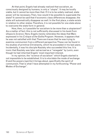At that point, Engels had already realized that socialism, as consciously designed by humans, is only a "utopia". It may be locally viable, but it cannot be more than that. If it is to be widely realized, state power will be necessary. Then, how would it be possible to supersede the state? It cannot be said that if economic class differences disappear, the state will automatically disappear as well. In the first place, a state exists in relation to other states. Therefore, it is not possible for one state alone to overcome the state form in general.

How, then, is it possible for socialism to be more than a utopianism? As a matter of fact, this is not sufficiently discussed in his book *From Utopia to Science*. Here, Engels merely reiterates the ideas that Marx expressed in his *Critique of the Gotha Program*. However, it appears that he was not satisfied with that. There are traces that he was trying to examine communism from a different perspective. These can be found in his studies of primitive Christianity, which he proceeded in his last years. Incidentally, it was his disciple Kautsky who succeeded this line. It is ironic that Kautsky was later ostracized as a "renegade" by Lenin, even though he had inherited Engels' most important interest.

In my opinion, the "science of socialism" which Engels started is not impossible to be established. It is to elucidate the mode of exchange D and the powers (spirits) it brings about, specifically the spirit of communism. That is what I have attempted in my forthcoming "Power and Modes of Exchange".

R I S  $\mathbf{I}$ S & C R  $\mathbf{I}$ T  $\mathbf{I}$ Q U E / Volume 8 Issue 2

C